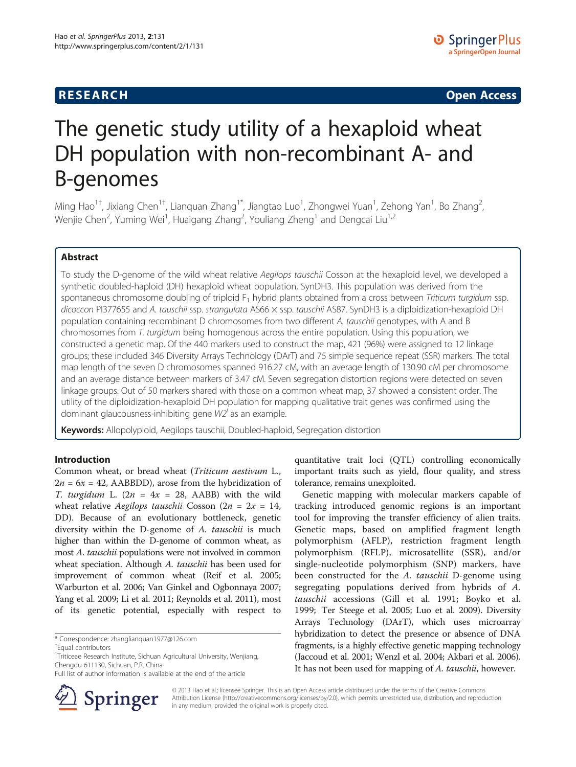# **RESEARCH CHINESE ARCH CHINESE ARCH CHINESE ARCH <b>CHINESE ARCH**

# The genetic study utility of a hexaploid wheat DH population with non-recombinant A- and B-genomes

Ming Hao<sup>1†</sup>, Jixiang Chen<sup>1†</sup>, Lianquan Zhang<sup>1\*</sup>, Jiangtao Luo<sup>1</sup>, Zhongwei Yuan<sup>1</sup>, Zehong Yan<sup>1</sup>, Bo Zhang<sup>2</sup> , Wenjie Chen<sup>2</sup>, Yuming Wei<sup>1</sup>, Huaigang Zhang<sup>2</sup>, Youliang Zheng<sup>1</sup> and Dengcai Liu<sup>1,2</sup>

# Abstract

To study the D-genome of the wild wheat relative Aegilops tauschii Cosson at the hexaploid level, we developed a synthetic doubled-haploid (DH) hexaploid wheat population, SynDH3. This population was derived from the spontaneous chromosome doubling of triploid  $F_1$  hybrid plants obtained from a cross between Triticum turgidum ssp. dicoccon PI377655 and A. tauschii ssp. strangulata AS66 x ssp. tauschii AS87. SynDH3 is a diploidization-hexaploid DH population containing recombinant D chromosomes from two different A. tauschii genotypes, with A and B chromosomes from T. turgidum being homogenous across the entire population. Using this population, we constructed a genetic map. Of the 440 markers used to construct the map, 421 (96%) were assigned to 12 linkage groups; these included 346 Diversity Arrays Technology (DArT) and 75 simple sequence repeat (SSR) markers. The total map length of the seven D chromosomes spanned 916.27 cM, with an average length of 130.90 cM per chromosome and an average distance between markers of 3.47 cM. Seven segregation distortion regions were detected on seven linkage groups. Out of 50 markers shared with those on a common wheat map, 37 showed a consistent order. The utility of the diploidization-hexaploid DH population for mapping qualitative trait genes was confirmed using the dominant glaucousness-inhibiting gene  $W\!Z^{'}$  as an example.

Keywords: Allopolyploid, Aegilops tauschii, Doubled-haploid, Segregation distortion

## Introduction

Common wheat, or bread wheat (Triticum aestivum L.,  $2n = 6x = 42$ , AABBDD), arose from the hybridization of T. turgidum L.  $(2n = 4x = 28, \text{ AABB})$  with the wild wheat relative Aegilops tauschii Cosson ( $2n = 2x = 14$ , DD). Because of an evolutionary bottleneck, genetic diversity within the D-genome of A. tauschii is much higher than within the D-genome of common wheat, as most A. tauschii populations were not involved in common wheat speciation. Although A. tauschii has been used for improvement of common wheat (Reif et al. [2005](#page-5-0); Warburton et al. [2006](#page-5-0); Van Ginkel and Ogbonnaya [2007](#page-5-0); Yang et al. [2009](#page-5-0); Li et al. [2011](#page-5-0); Reynolds et al. [2011\)](#page-5-0), most of its genetic potential, especially with respect to

\* Correspondence: [zhanglianquan1977@126.com](mailto:zhanglianquan1977@126.com) †

Full list of author information is available at the end of the article



quantitative trait loci (QTL) controlling economically important traits such as yield, flour quality, and stress tolerance, remains unexploited.

Genetic mapping with molecular markers capable of tracking introduced genomic regions is an important tool for improving the transfer efficiency of alien traits. Genetic maps, based on amplified fragment length polymorphism (AFLP), restriction fragment length polymorphism (RFLP), microsatellite (SSR), and/or single-nucleotide polymorphism (SNP) markers, have been constructed for the A. tauschii D-genome using segregating populations derived from hybrids of A. tauschii accessions (Gill et al. [1991](#page-5-0); Boyko et al. [1999;](#page-5-0) Ter Steege et al. [2005](#page-5-0); Luo et al. [2009\)](#page-5-0). Diversity Arrays Technology (DArT), which uses microarray hybridization to detect the presence or absence of DNA fragments, is a highly effective genetic mapping technology (Jaccoud et al. [2001;](#page-5-0) Wenzl et al. [2004;](#page-5-0) Akbari et al. [2006](#page-5-0)). It has not been used for mapping of A. tauschii, however.

© 2013 Hao et al.; licensee Springer. This is an Open Access article distributed under the terms of the Creative Commons Attribution License [\(http://creativecommons.org/licenses/by/2.0\)](http://creativecommons.org/licenses/by/2.0), which permits unrestricted use, distribution, and reproduction in any medium, provided the original work is properly cited.

Equal contributors

<sup>&</sup>lt;sup>1</sup>Triticeae Research Institute, Sichuan Agricultural University, Wenjiang, Chengdu 611130, Sichuan, P.R. China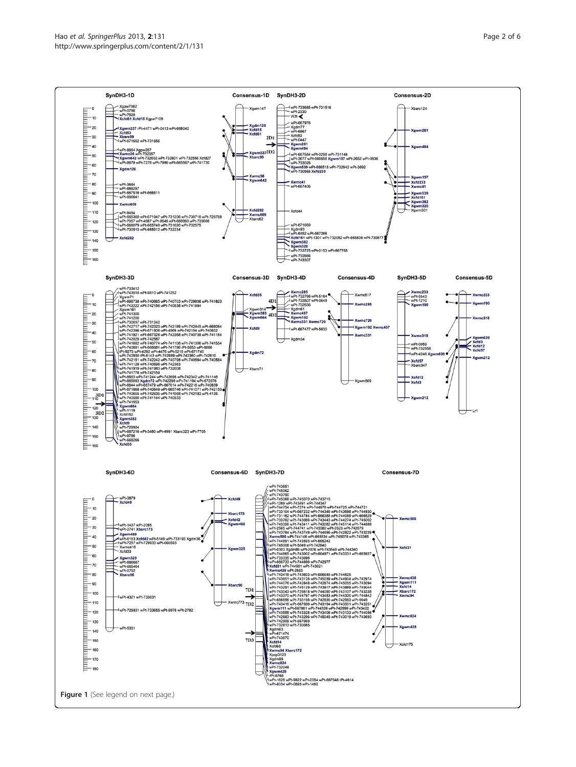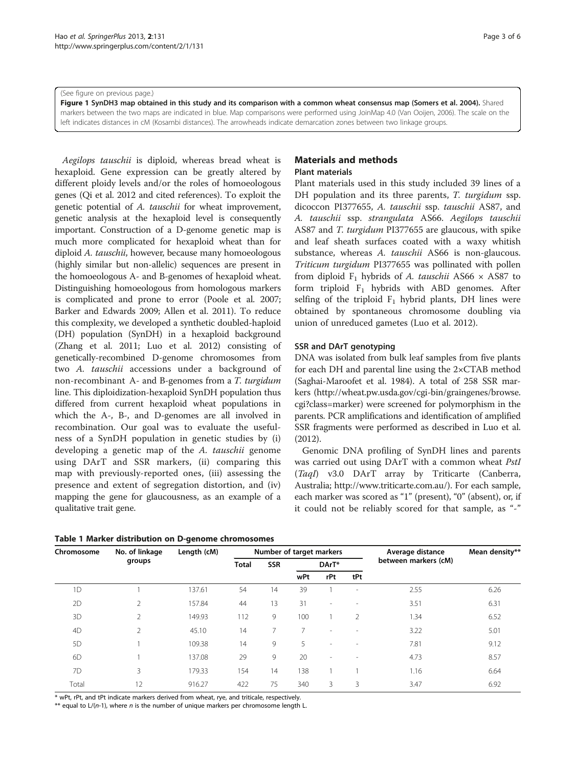<span id="page-2-0"></span>(See figure on previous page.)

Figure 1 SynDH3 map obtained in this study and its comparison with a common wheat consensus map (Somers et al. [2004](#page-5-0)). Shared markers between the two maps are indicated in blue. Map comparisons were performed using JoinMap 4.0 (Van Ooijen, [2006\)](#page-5-0). The scale on the left indicates distances in cM (Kosambi distances). The arrowheads indicate demarcation zones between two linkage groups.

Aegilops tauschii is diploid, whereas bread wheat is hexaploid. Gene expression can be greatly altered by different ploidy levels and/or the roles of homoeologous genes (Qi et al. [2012](#page-5-0) and cited references). To exploit the genetic potential of A. tauschii for wheat improvement, genetic analysis at the hexaploid level is consequently important. Construction of a D-genome genetic map is much more complicated for hexaploid wheat than for diploid A. tauschii, however, because many homoeologous (highly similar but non-allelic) sequences are present in the homoeologous A- and B-genomes of hexaploid wheat. Distinguishing homoeologous from homologous markers is complicated and prone to error (Poole et al. [2007](#page-5-0); Barker and Edwards [2009;](#page-5-0) Allen et al. [2011\)](#page-5-0). To reduce this complexity, we developed a synthetic doubled-haploid (DH) population (SynDH) in a hexaploid background (Zhang et al. [2011;](#page-5-0) Luo et al. [2012](#page-5-0)) consisting of genetically-recombined D-genome chromosomes from two A. tauschii accessions under a background of non-recombinant A- and B-genomes from a T. turgidum line. This diploidization-hexaploid SynDH population thus differed from current hexaploid wheat populations in which the A-, B-, and D-genomes are all involved in recombination. Our goal was to evaluate the usefulness of a SynDH population in genetic studies by (i) developing a genetic map of the A. tauschii genome using DArT and SSR markers, (ii) comparing this map with previously-reported ones, (iii) assessing the presence and extent of segregation distortion, and (iv) mapping the gene for glaucousness, as an example of a qualitative trait gene.

|  |  |  |  |  |  | Table 1 Marker distribution on D-genome chromosomes |
|--|--|--|--|--|--|-----------------------------------------------------|
|--|--|--|--|--|--|-----------------------------------------------------|

# Materials and methods

# Plant materials

Plant materials used in this study included 39 lines of a DH population and its three parents, T. turgidum ssp. dicoccon PI377655, A. tauschii ssp. tauschii AS87, and A. tauschii ssp. strangulata AS66. Aegilops tauschii AS87 and T. turgidum PI377655 are glaucous, with spike and leaf sheath surfaces coated with a waxy whitish substance, whereas A. tauschii AS66 is non-glaucous. Triticum turgidum PI377655 was pollinated with pollen from diploid  $F_1$  hybrids of A. tauschii AS66  $\times$  AS87 to form triploid  $F_1$  hybrids with ABD genomes. After selfing of the triploid  $F_1$  hybrid plants, DH lines were obtained by spontaneous chromosome doubling via union of unreduced gametes (Luo et al. [2012\)](#page-5-0).

#### SSR and DArT genotyping

DNA was isolated from bulk leaf samples from five plants for each DH and parental line using the 2×CTAB method (Saghai-Maroofet et al. [1984\)](#page-5-0). A total of 258 SSR markers ([http://wheat.pw.usda.gov/cgi-bin/graingenes/browse.](http://wheat.pw.usda.gov/cgi-bin/graingenes/browse.cgi?class=marker) [cgi?class=marker\)](http://wheat.pw.usda.gov/cgi-bin/graingenes/browse.cgi?class=marker) were screened for polymorphism in the parents. PCR amplifications and identification of amplified SSR fragments were performed as described in Luo et al. ([2012](#page-5-0)).

Genomic DNA profiling of SynDH lines and parents was carried out using DArT with a common wheat PstI (TaqI) v3.0 DArT array by Triticarte (Canberra, Australia; [http://www.triticarte.com.au/\)](http://www.triticarte.com.au/). For each sample, each marker was scored as "1" (present), "0" (absent), or, if it could not be reliably scored for that sample, as "-"

| Chromosome     | No. of linkage<br>groups | Length (cM) | Number of target markers |            |       |                          |                          | Average distance     | Mean density** |
|----------------|--------------------------|-------------|--------------------------|------------|-------|--------------------------|--------------------------|----------------------|----------------|
|                |                          |             | <b>Total</b>             | <b>SSR</b> | DArT* |                          |                          | between markers (cM) |                |
|                |                          |             |                          |            | wPt   | rPt                      | tPt                      |                      |                |
| 1D             |                          | 137.61      | 54                       | 14         | 39    |                          | $\overline{\phantom{a}}$ | 2.55                 | 6.26           |
| 2D             | 2                        | 157.84      | 44                       | 13         | 31    | $\sim$                   | $\overline{\phantom{a}}$ | 3.51                 | 6.31           |
| 3D             | $\overline{2}$           | 149.93      | 112                      | 9          | 100   |                          | $\overline{2}$           | 1.34                 | 6.52           |
| 4D             | $\mathfrak{D}$           | 45.10       | 14                       | 7          | 7     | ٠                        | $\overline{\phantom{a}}$ | 3.22                 | 5.01           |
| 5 <sub>D</sub> |                          | 109.38      | 14                       | 9          | 5     | $\overline{\phantom{a}}$ | $\overline{\phantom{a}}$ | 7.81                 | 9.12           |
| 6D             |                          | 137.08      | 29                       | 9          | 20    | ٠                        | $\sim$                   | 4.73                 | 8.57           |
| 7D             | 3                        | 179.33      | 154                      | 14         | 138   |                          |                          | 1.16                 | 6.64           |
| Total          | 12                       | 916.27      | 422                      | 75         | 340   | 3                        | 3                        | 3.47                 | 6.92           |

\* wPt, rPt, and tPt indicate markers derived from wheat, rye, and triticale, respectively.

\*\* equal to  $L/(n-1)$ , where n is the number of unique markers per chromosome length L.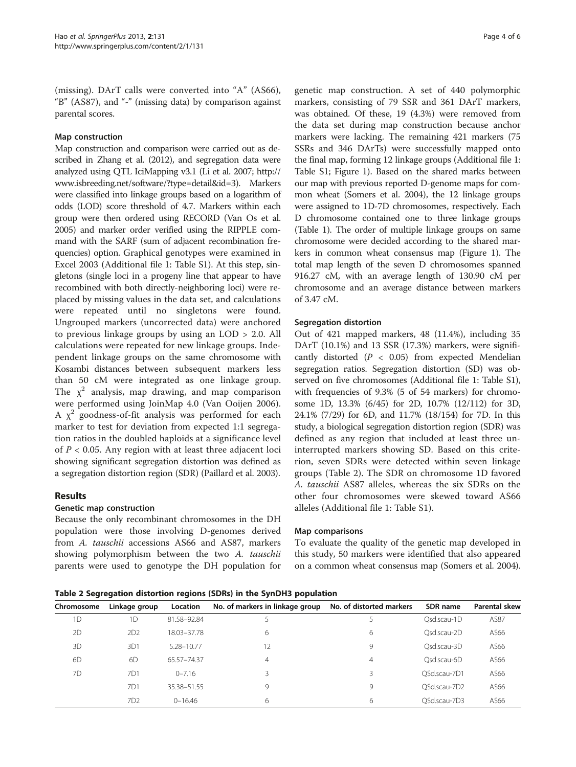(missing). DArT calls were converted into "A" (AS66), "B" (AS87), and "-" (missing data) by comparison against parental scores.

#### Map construction

Map construction and comparison were carried out as described in Zhang et al. [\(2012](#page-5-0)), and segregation data were analyzed using QTL IciMapping v3.1 (Li et al. [2007;](#page-5-0) [http://](http://www.isbreeding.net/software/?type=detail&id=3) [www.isbreeding.net/software/?type=detail&id=3\)](http://www.isbreeding.net/software/?type=detail&id=3). Markers were classified into linkage groups based on a logarithm of odds (LOD) score threshold of 4.7. Markers within each group were then ordered using RECORD (Van Os et al. [2005\)](#page-5-0) and marker order verified using the RIPPLE command with the SARF (sum of adjacent recombination frequencies) option. Graphical genotypes were examined in Excel 2003 (Additional file [1](#page-5-0): Table S1). At this step, singletons (single loci in a progeny line that appear to have recombined with both directly-neighboring loci) were replaced by missing values in the data set, and calculations were repeated until no singletons were found. Ungrouped markers (uncorrected data) were anchored to previous linkage groups by using an LOD > 2.0. All calculations were repeated for new linkage groups. Independent linkage groups on the same chromosome with Kosambi distances between subsequent markers less than 50 cM were integrated as one linkage group. The  $\chi^2$  analysis, map drawing, and map comparison were performed using JoinMap 4.0 (Van Ooijen [2006](#page-5-0)). A  $\chi^2$  goodness-of-fit analysis was performed for each marker to test for deviation from expected 1:1 segregation ratios in the doubled haploids at a significance level of  $P < 0.05$ . Any region with at least three adjacent loci showing significant segregation distortion was defined as a segregation distortion region (SDR) (Paillard et al. [2003\)](#page-5-0).

## Results

## Genetic map construction

Because the only recombinant chromosomes in the DH population were those involving D-genomes derived from A. tauschii accessions AS66 and AS87, markers showing polymorphism between the two A. tauschii parents were used to genotype the DH population for

genetic map construction. A set of 440 polymorphic markers, consisting of 79 SSR and 361 DArT markers, was obtained. Of these, 19 (4.3%) were removed from the data set during map construction because anchor markers were lacking. The remaining 421 markers (75 SSRs and 346 DArTs) were successfully mapped onto the final map, forming 12 linkage groups (Additional file [1](#page-5-0): Table S1; Figure [1\)](#page-2-0). Based on the shared marks between our map with previous reported D-genome maps for common wheat (Somers et al. [2004](#page-5-0)), the 12 linkage groups were assigned to 1D-7D chromosomes, respectively. Each D chromosome contained one to three linkage groups (Table [1](#page-2-0)). The order of multiple linkage groups on same chromosome were decided according to the shared markers in common wheat consensus map (Figure [1\)](#page-2-0). The total map length of the seven D chromosomes spanned 916.27 cM, with an average length of 130.90 cM per chromosome and an average distance between markers of 3.47 cM.

#### Segregation distortion

Out of 421 mapped markers, 48 (11.4%), including 35 DArT (10.1%) and 13 SSR (17.3%) markers, were significantly distorted ( $P < 0.05$ ) from expected Mendelian segregation ratios. Segregation distortion (SD) was observed on five chromosomes (Additional file [1](#page-5-0): Table S1), with frequencies of 9.3% (5 of 54 markers) for chromosome 1D, 13.3% (6/45) for 2D, 10.7% (12/112) for 3D, 24.1% (7/29) for 6D, and 11.7% (18/154) for 7D. In this study, a biological segregation distortion region (SDR) was defined as any region that included at least three uninterrupted markers showing SD. Based on this criterion, seven SDRs were detected within seven linkage groups (Table 2). The SDR on chromosome 1D favored A. tauschii AS87 alleles, whereas the six SDRs on the other four chromosomes were skewed toward AS66 alleles (Additional file [1:](#page-5-0) Table S1).

#### Map comparisons

To evaluate the quality of the genetic map developed in this study, 50 markers were identified that also appeared on a common wheat consensus map (Somers et al. [2004](#page-5-0)).

Table 2 Segregation distortion regions (SDRs) in the SynDH3 population

| Chromosome | Linkage group   | Location    | No. of markers in linkage group | No. of distorted markers | SDR name     | Parental skew |
|------------|-----------------|-------------|---------------------------------|--------------------------|--------------|---------------|
| 1D         | 1D              | 81.58-92.84 |                                 |                          | Qsd.scau-1D  | AS87          |
| 2D         | 2D2             | 18.03-37.78 | 6                               | 6                        | Osd.scau-2D  | AS66          |
| 3D         | 3D1             | 5.28-10.77  | 12                              | 9                        | Osd.scau-3D  | AS66          |
| 6D         | 6D              | 65.57-74.37 | 4                               | 4                        | Osd.scau-6D  | AS66          |
| 7D         | 7D1             | $0 - 7.16$  | 3                               |                          | OSd.scau-7D1 | AS66          |
|            | 7D1             | 35.38-51.55 | 9                               | 9                        | OSd.scau-7D2 | AS66          |
|            | 7D <sub>2</sub> | $0 - 16.46$ | 6                               | 6                        | QSd.scau-7D3 | AS66          |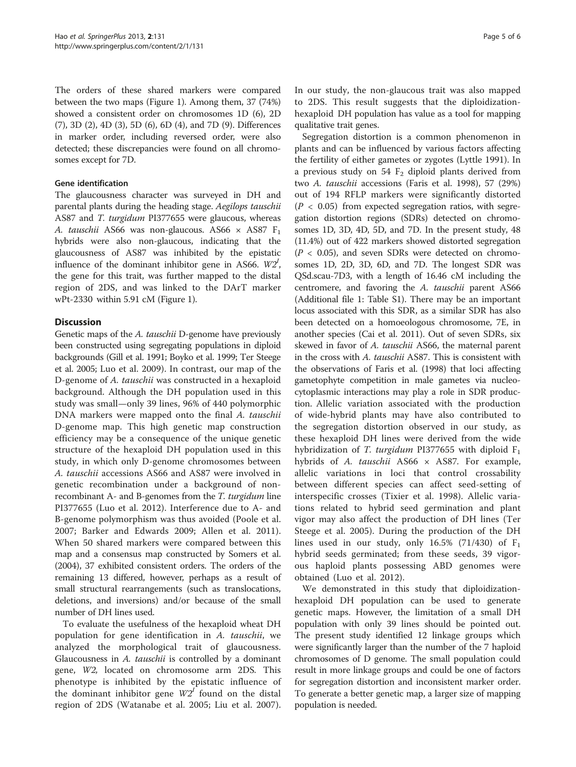The orders of these shared markers were compared between the two maps (Figure [1\)](#page-2-0). Among them, 37 (74%) showed a consistent order on chromosomes 1D (6), 2D (7), 3D (2), 4D (3), 5D (6), 6D (4), and 7D (9). Differences in marker order, including reversed order, were also detected; these discrepancies were found on all chromosomes except for 7D.

#### Gene identification

The glaucousness character was surveyed in DH and parental plants during the heading stage. Aegilops tauschii AS87 and T. turgidum PI377655 were glaucous, whereas A. tauschii AS66 was non-glaucous. AS66  $\times$  AS87 F<sub>1</sub> hybrids were also non-glaucous, indicating that the glaucousness of AS87 was inhibited by the epistatic influence of the dominant inhibitor gene in AS66.  $W2<sup>I</sup>$ , the gene for this trait, was further mapped to the distal region of 2DS, and was linked to the DArT marker wPt-2330 within 5.91 cM (Figure [1\)](#page-2-0).

# **Discussion**

Genetic maps of the A. tauschii D-genome have previously been constructed using segregating populations in diploid backgrounds (Gill et al. [1991;](#page-5-0) Boyko et al. [1999](#page-5-0); Ter Steege et al. [2005](#page-5-0); Luo et al. [2009\)](#page-5-0). In contrast, our map of the D-genome of A. tauschii was constructed in a hexaploid background. Although the DH population used in this study was small—only 39 lines, 96% of 440 polymorphic DNA markers were mapped onto the final A. tauschii D-genome map. This high genetic map construction efficiency may be a consequence of the unique genetic structure of the hexaploid DH population used in this study, in which only D-genome chromosomes between A. tauschii accessions AS66 and AS87 were involved in genetic recombination under a background of nonrecombinant A- and B-genomes from the T. turgidum line PI377655 (Luo et al. [2012\)](#page-5-0). Interference due to A- and B-genome polymorphism was thus avoided (Poole et al. [2007;](#page-5-0) Barker and Edwards [2009](#page-5-0); Allen et al. [2011](#page-5-0)). When 50 shared markers were compared between this map and a consensus map constructed by Somers et al. ([2004](#page-5-0)), 37 exhibited consistent orders. The orders of the remaining 13 differed, however, perhaps as a result of small structural rearrangements (such as translocations, deletions, and inversions) and/or because of the small number of DH lines used.

To evaluate the usefulness of the hexaploid wheat DH population for gene identification in A. tauschii, we analyzed the morphological trait of glaucousness. Glaucousness in A. tauschii is controlled by a dominant gene, W2, located on chromosome arm 2DS. This phenotype is inhibited by the epistatic influence of the dominant inhibitor gene  $W2<sup>t</sup>$  found on the distal region of 2DS (Watanabe et al. [2005;](#page-5-0) Liu et al. [2007](#page-5-0)).

In our study, the non-glaucous trait was also mapped to 2DS. This result suggests that the diploidizationhexaploid DH population has value as a tool for mapping qualitative trait genes.

Segregation distortion is a common phenomenon in plants and can be influenced by various factors affecting the fertility of either gametes or zygotes (Lyttle [1991](#page-5-0)). In a previous study on  $54$   $F_2$  diploid plants derived from two A. tauschii accessions (Faris et al. [1998\)](#page-5-0), 57 (29%) out of 194 RFLP markers were significantly distorted  $(P < 0.05)$  from expected segregation ratios, with segregation distortion regions (SDRs) detected on chromosomes 1D, 3D, 4D, 5D, and 7D. In the present study, 48 (11.4%) out of 422 markers showed distorted segregation  $(P < 0.05)$ , and seven SDRs were detected on chromosomes 1D, 2D, 3D, 6D, and 7D. The longest SDR was QSd.scau-7D3, with a length of 16.46 cM including the centromere, and favoring the A. tauschii parent AS66 (Additional file [1](#page-5-0): Table S1). There may be an important locus associated with this SDR, as a similar SDR has also been detected on a homoeologous chromosome, 7E, in another species (Cai et al. [2011](#page-5-0)). Out of seven SDRs, six skewed in favor of A. tauschii AS66, the maternal parent in the cross with A. tauschii AS87. This is consistent with the observations of Faris et al. [\(1998\)](#page-5-0) that loci affecting gametophyte competition in male gametes via nucleocytoplasmic interactions may play a role in SDR production. Allelic variation associated with the production of wide-hybrid plants may have also contributed to the segregation distortion observed in our study, as these hexaploid DH lines were derived from the wide hybridization of T. turgidum PI377655 with diploid  $F_1$ hybrids of A. tauschii  $AS66 \times AS87$ . For example, allelic variations in loci that control crossability between different species can affect seed-setting of interspecific crosses (Tixier et al. [1998](#page-5-0)). Allelic variations related to hybrid seed germination and plant vigor may also affect the production of DH lines (Ter Steege et al. [2005\)](#page-5-0). During the production of the DH lines used in our study, only 16.5% (71/430) of  $F_1$ hybrid seeds germinated; from these seeds, 39 vigorous haploid plants possessing ABD genomes were obtained (Luo et al. [2012](#page-5-0)).

We demonstrated in this study that diploidizationhexaploid DH population can be used to generate genetic maps. However, the limitation of a small DH population with only 39 lines should be pointed out. The present study identified 12 linkage groups which were significantly larger than the number of the 7 haploid chromosomes of D genome. The small population could result in more linkage groups and could be one of factors for segregation distortion and inconsistent marker order. To generate a better genetic map, a larger size of mapping population is needed.